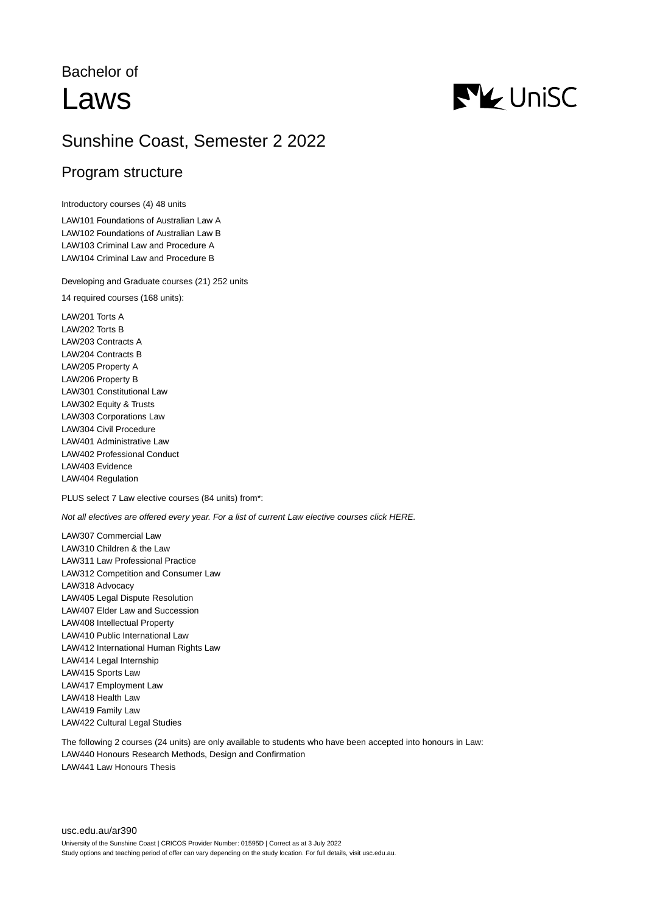# Bachelor of Laws



## Sunshine Coast, Semester 2 2022

### Program structure

Introductory courses (4) 48 units

LAW101 Foundations of Australian Law A LAW102 Foundations of Australian Law B LAW103 Criminal Law and Procedure A LAW104 Criminal Law and Procedure B

Developing and Graduate courses (21) 252 units

14 required courses (168 units):

LAW201 Torts A LAW202 Torts B LAW203 Contracts A LAW204 Contracts B LAW205 Property A LAW206 Property B LAW301 Constitutional Law LAW302 Equity & Trusts LAW303 Corporations Law LAW304 Civil Procedure LAW401 Administrative Law LAW402 Professional Conduct LAW403 Evidence LAW404 Regulation

PLUS select 7 Law elective courses (84 units) from\*:

Not all electives are offered every year. For a list of current Law elective courses click HERE.

LAW307 Commercial Law LAW310 Children & the Law LAW311 Law Professional Practice LAW312 Competition and Consumer Law LAW318 Advocacy LAW405 Legal Dispute Resolution LAW407 Elder Law and Succession LAW408 Intellectual Property LAW410 Public International Law LAW412 International Human Rights Law LAW414 Legal Internship LAW415 Sports Law LAW417 Employment Law LAW418 Health Law LAW419 Family Law LAW422 Cultural Legal Studies

The following 2 courses (24 units) are only available to students who have been accepted into honours in Law: LAW440 Honours Research Methods, Design and Confirmation LAW441 Law Honours Thesis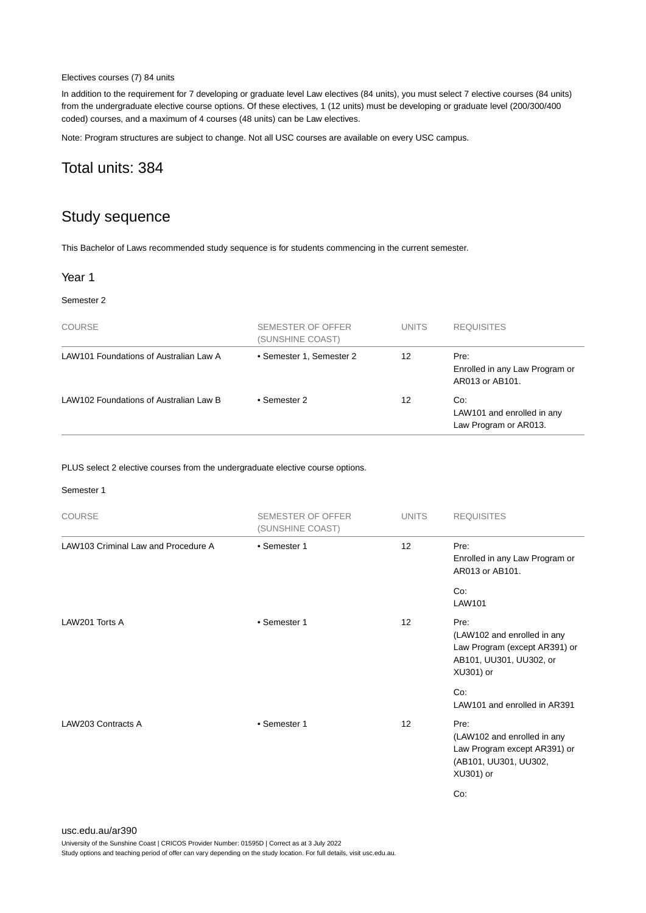#### Electives courses (7) 84 units

In addition to the requirement for 7 developing or graduate level Law electives (84 units), you must select 7 elective courses (84 units) from the undergraduate elective course options. Of these electives, 1 (12 units) must be developing or graduate level (200/300/400 coded) courses, and a maximum of 4 courses (48 units) can be Law electives.

Note: Program structures are subject to change. Not all USC courses are available on every USC campus.

## Total units: 384

## Study sequence

This Bachelor of Laws recommended study sequence is for students commencing in the current semester.

#### Year 1

#### Semester 2

| <b>COURSE</b>                          | SEMESTER OF OFFER<br>(SUNSHINE COAST) | <b>UNITS</b> | <b>REQUISITES</b>                                          |
|----------------------------------------|---------------------------------------|--------------|------------------------------------------------------------|
| LAW101 Foundations of Australian Law A | • Semester 1, Semester 2              | 12           | Pre:<br>Enrolled in any Law Program or<br>AR013 or AB101.  |
| LAW102 Foundations of Australian Law B | • Semester 2                          | 12           | Co:<br>LAW101 and enrolled in any<br>Law Program or AR013. |

PLUS select 2 elective courses from the undergraduate elective course options.

#### Semester 1

| <b>COURSE</b>                       | <b>SEMESTER OF OFFER</b><br>(SUNSHINE COAST) | <b>UNITS</b>    | <b>REQUISITES</b>                                                                                            |
|-------------------------------------|----------------------------------------------|-----------------|--------------------------------------------------------------------------------------------------------------|
| LAW103 Criminal Law and Procedure A | • Semester 1                                 | 12 <sup>2</sup> | Pre:<br>Enrolled in any Law Program or<br>AR013 or AB101.                                                    |
|                                     |                                              |                 | Co:<br>LAW101                                                                                                |
| LAW201 Torts A                      | • Semester 1                                 | 12              | Pre:<br>(LAW102 and enrolled in any<br>Law Program (except AR391) or<br>AB101, UU301, UU302, or<br>XU301) or |
|                                     |                                              |                 | Co:<br>LAW101 and enrolled in AR391                                                                          |
| LAW203 Contracts A                  | • Semester 1                                 | 12              | Pre:<br>(LAW102 and enrolled in any<br>Law Program except AR391) or<br>(AB101, UU301, UU302,<br>XU301) or    |
|                                     |                                              |                 | Co:                                                                                                          |

#### [usc.edu.au/ar390](https://www.usc.edu.au/ar390) University of the Sunshine Coast | CRICOS Provider Number: 01595D | Correct as at 3 July 2022 Study options and teaching period of offer can vary depending on the study location. For full details, visit usc.edu.au.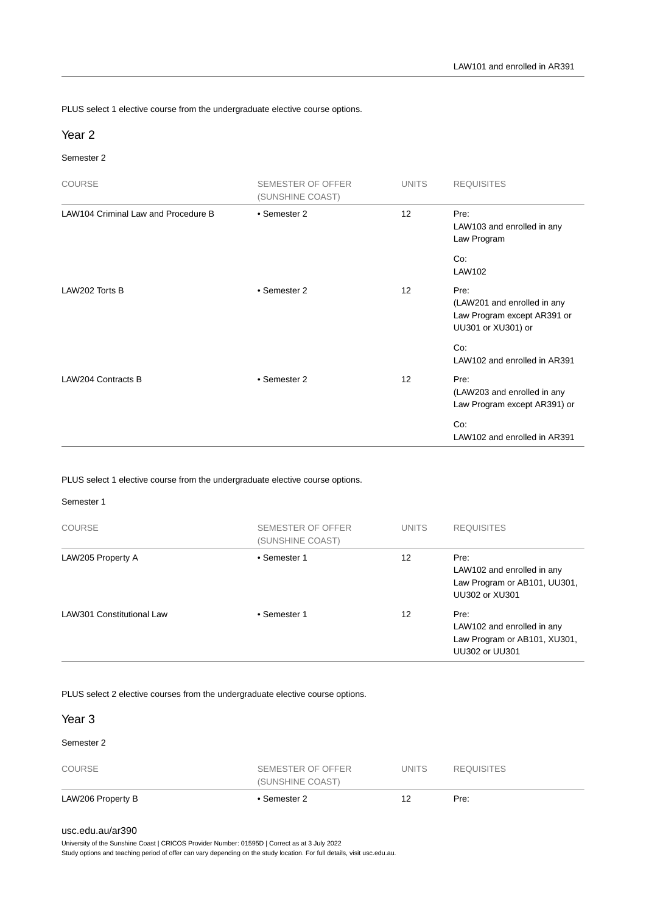PLUS select 1 elective course from the undergraduate elective course options.

#### Year 2

#### Semester 2

| <b>COURSE</b>                       | <b>SEMESTER OF OFFER</b><br>(SUNSHINE COAST) | <b>UNITS</b>    | <b>REQUISITES</b>                                                                        |
|-------------------------------------|----------------------------------------------|-----------------|------------------------------------------------------------------------------------------|
| LAW104 Criminal Law and Procedure B | • Semester 2                                 | 12 <sup>2</sup> | Pre:<br>LAW103 and enrolled in any<br>Law Program                                        |
|                                     |                                              |                 | Co:<br>LAW102                                                                            |
| LAW202 Torts B                      | • Semester 2                                 | 12 <sup>2</sup> | Pre:<br>(LAW201 and enrolled in any<br>Law Program except AR391 or<br>UU301 or XU301) or |
|                                     |                                              |                 | Co:<br>LAW102 and enrolled in AR391                                                      |
| <b>LAW204 Contracts B</b>           | • Semester 2                                 | 12 <sup>2</sup> | Pre:<br>(LAW203 and enrolled in any<br>Law Program except AR391) or                      |
|                                     |                                              |                 | Co:<br>LAW102 and enrolled in AR391                                                      |

PLUS select 1 elective course from the undergraduate elective course options.

#### Semester 1

| <b>COURSE</b>             | SEMESTER OF OFFER<br>(SUNSHINE COAST) | <b>UNITS</b> | <b>REQUISITES</b>                                                                    |
|---------------------------|---------------------------------------|--------------|--------------------------------------------------------------------------------------|
| LAW205 Property A         | • Semester 1                          | 12           | Pre:<br>LAW102 and enrolled in any<br>Law Program or AB101, UU301,<br>UU302 or XU301 |
| LAW301 Constitutional Law | • Semester 1                          | 12           | Pre:<br>LAW102 and enrolled in any<br>Law Program or AB101, XU301,<br>UU302 or UU301 |

PLUS select 2 elective courses from the undergraduate elective course options.

| LAW206 Property B | • Semester 2                          | 12           | Pre:              |  |
|-------------------|---------------------------------------|--------------|-------------------|--|
| <b>COURSE</b>     | SEMESTER OF OFFER<br>(SUNSHINE COAST) | <b>UNITS</b> | <b>REQUISITES</b> |  |
| Semester 2        |                                       |              |                   |  |
| Year <sub>3</sub> |                                       |              |                   |  |

#### [usc.edu.au/ar390](https://www.usc.edu.au/ar390)

University of the Sunshine Coast | CRICOS Provider Number: 01595D | Correct as at 3 July 2022

Study options and teaching period of offer can vary depending on the study location. For full details, visit usc.edu.au.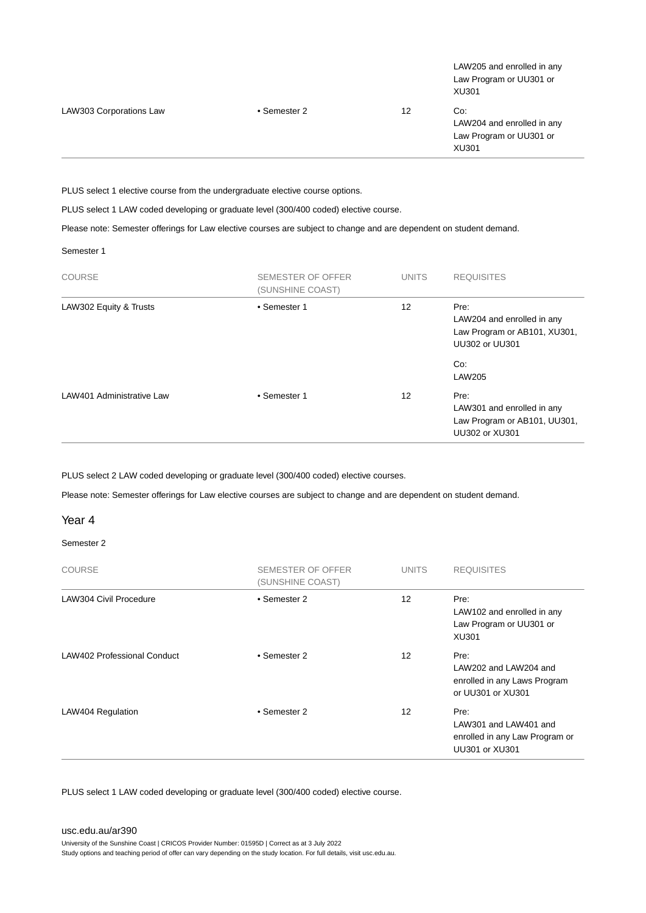| <b>LAW303 Corporations Law</b> | • Semester 2 | 12 | Co:<br>LAW204 and enrolled in any<br>Law Program or UU301 or<br>XU301 |
|--------------------------------|--------------|----|-----------------------------------------------------------------------|
|                                |              |    | LAW205 and enrolled in any<br>Law Program or UU301 or<br>XU301        |

PLUS select 1 elective course from the undergraduate elective course options.

PLUS select 1 LAW coded developing or graduate level (300/400 coded) elective course.

Please note: Semester offerings for Law elective courses are subject to change and are dependent on student demand.

Semester 1

| <b>COURSE</b>             | SEMESTER OF OFFER<br>(SUNSHINE COAST) | <b>UNITS</b> | <b>REQUISITES</b>                                                                           |
|---------------------------|---------------------------------------|--------------|---------------------------------------------------------------------------------------------|
| LAW302 Equity & Trusts    | • Semester 1                          | 12           | Pre:<br>LAW204 and enrolled in any<br>Law Program or AB101, XU301,<br><b>UU302 or UU301</b> |
|                           |                                       |              | Co:<br><b>LAW205</b>                                                                        |
| LAW401 Administrative Law | • Semester 1                          | 12           | Pre:<br>LAW301 and enrolled in any<br>Law Program or AB101, UU301,<br>UU302 or XU301        |

PLUS select 2 LAW coded developing or graduate level (300/400 coded) elective courses.

Please note: Semester offerings for Law elective courses are subject to change and are dependent on student demand.

#### Year 4

#### Semester 2

| <b>COURSE</b>               | <b>SEMESTER OF OFFER</b><br>(SUNSHINE COAST) | <b>UNITS</b>      | <b>REQUISITES</b>                                                                  |
|-----------------------------|----------------------------------------------|-------------------|------------------------------------------------------------------------------------|
| LAW304 Civil Procedure      | • Semester 2                                 | $12 \overline{ }$ | Pre:<br>LAW102 and enrolled in any<br>Law Program or UU301 or<br>XU301             |
| LAW402 Professional Conduct | • Semester 2                                 | 12                | Pre:<br>LAW202 and LAW204 and<br>enrolled in any Laws Program<br>or UU301 or XU301 |
| LAW404 Regulation           | • Semester 2                                 | 12                | Pre:<br>LAW301 and LAW401 and<br>enrolled in any Law Program or<br>UU301 or XU301  |

PLUS select 1 LAW coded developing or graduate level (300/400 coded) elective course.